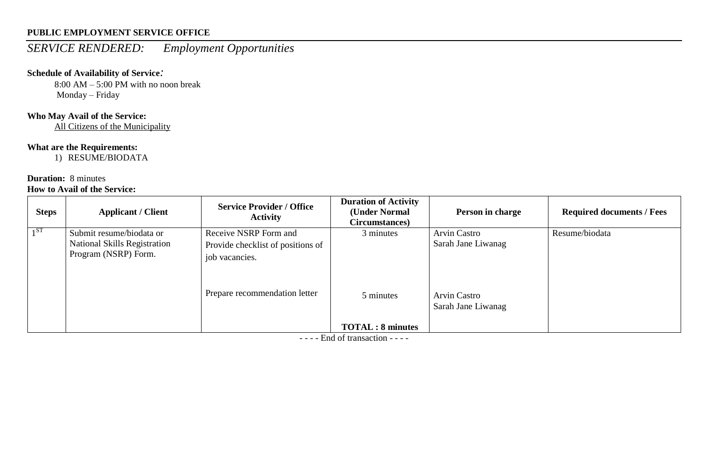# *SERVICE RENDERED: Employment Opportunities*

### **Schedule of Availability of Service***:*

8:00 AM – 5:00 PM with no noon break Monday – Friday

# **Who May Avail of the Service:**

All Citizens of the Municipality

# **What are the Requirements:**

1) RESUME/BIODATA

### **Duration:** 8 minutes **How to Avail of the Service:**

| <b>Steps</b> | <b>Applicant / Client</b>           | <b>Service Provider / Office</b><br><b>Activity</b> | <b>Duration of Activity</b><br>(Under Normal<br>Circumstances) | Person in charge                          | <b>Required documents / Fees</b> |
|--------------|-------------------------------------|-----------------------------------------------------|----------------------------------------------------------------|-------------------------------------------|----------------------------------|
| $1^{ST}$     | Submit resume/biodata or            | Receive NSRP Form and                               | 3 minutes                                                      | <b>Arvin Castro</b>                       | Resume/biodata                   |
|              | <b>National Skills Registration</b> | Provide checklist of positions of                   |                                                                | Sarah Jane Liwanag                        |                                  |
|              | Program (NSRP) Form.                | job vacancies.                                      |                                                                |                                           |                                  |
|              |                                     | Prepare recommendation letter                       | 5 minutes                                                      | <b>Arvin Castro</b><br>Sarah Jane Liwanag |                                  |
|              |                                     |                                                     | <b>TOTAL: 8 minutes</b>                                        |                                           |                                  |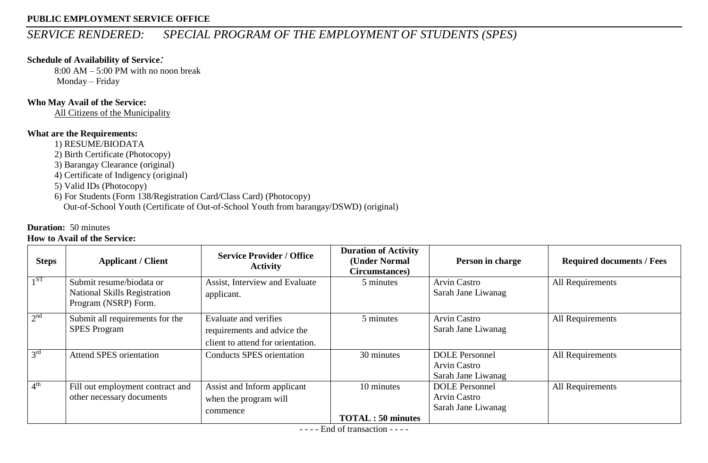# *SERVICE RENDERED: SPECIAL PROGRAM OF THE EMPLOYMENT OF STUDENTS (SPES)*

### **Schedule of Availability of Service***:*

8:00 AM – 5:00 PM with no noon break Monday – Friday

### **Who May Avail of the Service:**

All Citizens of the Municipality

### **What are the Requirements:**

1) RESUME/BIODATA

2) Birth Certificate (Photocopy)

3) Barangay Clearance (original)

4) Certificate of Indigency (original)

5) Valid IDs (Photocopy)

6) For Students (Form 138/Registration Card/Class Card) (Photocopy) Out-of-School Youth (Certificate of Out-of-School Youth from barangay/DSWD) (original)

# **Duration:** 50 minutes

### **How to Avail of the Service:**

| <b>Steps</b>    | <b>Applicant / Client</b>                                                               | <b>Service Provider / Office</b><br><b>Activity</b>                                       | <b>Duration of Activity</b><br>(Under Normal<br>Circumstances) | Person in charge                                                   | <b>Required documents / Fees</b> |
|-----------------|-----------------------------------------------------------------------------------------|-------------------------------------------------------------------------------------------|----------------------------------------------------------------|--------------------------------------------------------------------|----------------------------------|
| 1 <sup>ST</sup> | Submit resume/biodata or<br><b>National Skills Registration</b><br>Program (NSRP) Form. | Assist, Interview and Evaluate<br>applicant.                                              | 5 minutes                                                      | <b>Arvin Castro</b><br>Sarah Jane Liwanag                          | All Requirements                 |
| 2 <sup>nd</sup> | Submit all requirements for the<br><b>SPES Program</b>                                  | Evaluate and verifies<br>requirements and advice the<br>client to attend for orientation. | 5 minutes                                                      | <b>Arvin Castro</b><br>Sarah Jane Liwanag                          | All Requirements                 |
| 3 <sup>rd</sup> | <b>Attend SPES orientation</b>                                                          | <b>Conducts SPES orientation</b>                                                          | 30 minutes                                                     | <b>DOLE</b> Personnel<br><b>Arvin Castro</b><br>Sarah Jane Liwanag | All Requirements                 |
| 4 <sup>th</sup> | Fill out employment contract and<br>other necessary documents                           | Assist and Inform applicant<br>when the program will<br>commence                          | 10 minutes<br><b>TOTAL</b> : 50 minutes                        | <b>DOLE</b> Personnel<br><b>Arvin Castro</b><br>Sarah Jane Liwanag | All Requirements                 |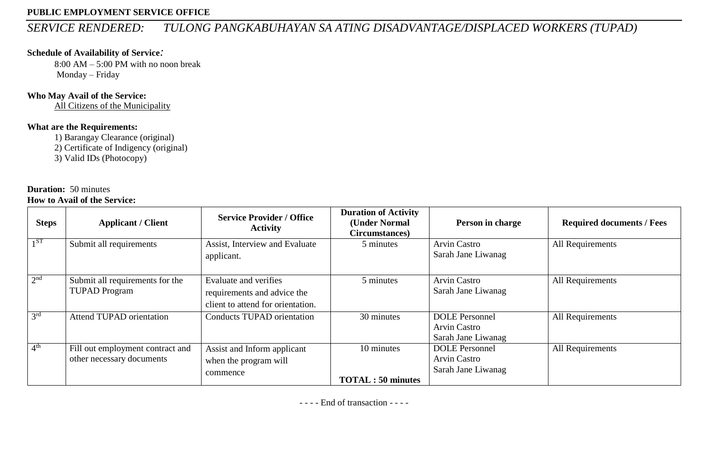# *SERVICE RENDERED: TULONG PANGKABUHAYAN SA ATING DISADVANTAGE/DISPLACED WORKERS (TUPAD)*

### **Schedule of Availability of Service***:*

8:00 AM – 5:00 PM with no noon break Monday – Friday

#### **Who May Avail of the Service:**

All Citizens of the Municipality

### **What are the Requirements:**

1) Barangay Clearance (original)

2) Certificate of Indigency (original)

3) Valid IDs (Photocopy)

#### **Duration:** 50 minutes **How to Avail of the Service:**

| <b>Steps</b>    | <b>Applicant / Client</b>                                     | <b>Service Provider / Office</b><br><b>Activity</b>                                       | <b>Duration of Activity</b><br>(Under Normal<br>Circumstances) | Person in charge                                                   | <b>Required documents / Fees</b> |
|-----------------|---------------------------------------------------------------|-------------------------------------------------------------------------------------------|----------------------------------------------------------------|--------------------------------------------------------------------|----------------------------------|
| 1 <sup>ST</sup> | Submit all requirements                                       | Assist, Interview and Evaluate<br>applicant.                                              | 5 minutes                                                      | <b>Arvin Castro</b><br>Sarah Jane Liwanag                          | All Requirements                 |
| 2 <sup>nd</sup> | Submit all requirements for the<br><b>TUPAD Program</b>       | Evaluate and verifies<br>requirements and advice the<br>client to attend for orientation. | 5 minutes                                                      | <b>Arvin Castro</b><br>Sarah Jane Liwanag                          | All Requirements                 |
| 3 <sup>rd</sup> | <b>Attend TUPAD orientation</b>                               | <b>Conducts TUPAD orientation</b>                                                         | 30 minutes                                                     | <b>DOLE</b> Personnel<br><b>Arvin Castro</b><br>Sarah Jane Liwanag | All Requirements                 |
| 4 <sup>th</sup> | Fill out employment contract and<br>other necessary documents | Assist and Inform applicant<br>when the program will<br>commence                          | 10 minutes<br><b>TOTAL: 50 minutes</b>                         | <b>DOLE</b> Personnel<br><b>Arvin Castro</b><br>Sarah Jane Liwanag | All Requirements                 |